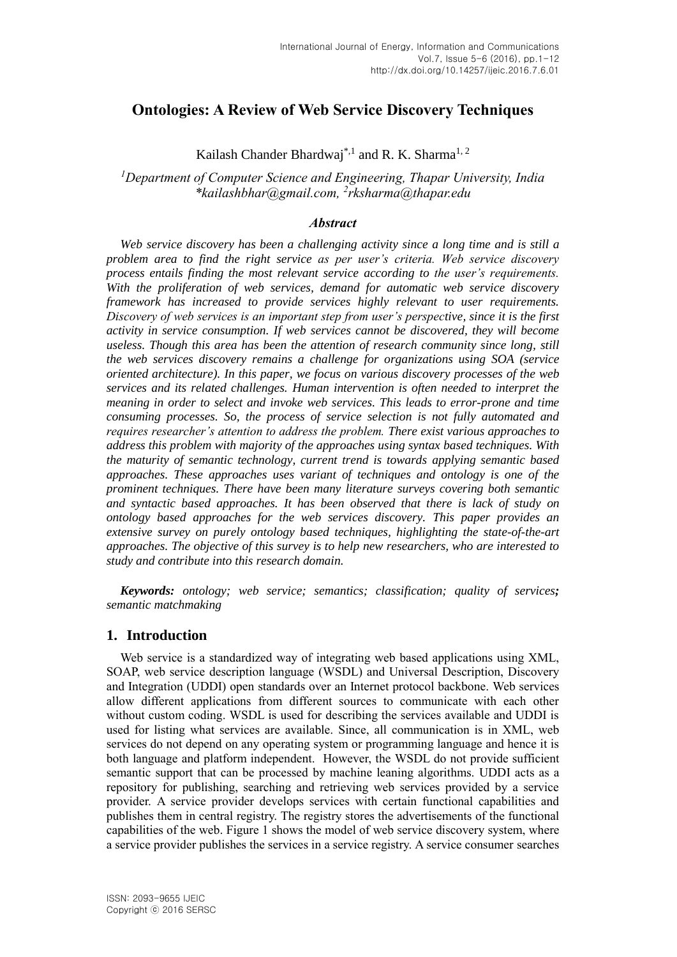# **Ontologies: A Review of Web Service Discovery Techniques**

Kailash Chander Bhardwaj<sup>\*,1</sup> and R. K. Sharma<sup>1, 2</sup>

*<sup>1</sup>Department of Computer Science and Engineering, Thapar University, India \*kailashbhar@gmail.com, 2 rksharma@thapar.edu*

#### *Abstract*

*Web service discovery has been a challenging activity since a long time and is still a problem area to find the right service as per user's criteria. Web service discovery process entails finding the most relevant service according to the user's requirements. With the proliferation of web services, demand for automatic web service discovery framework has increased to provide services highly relevant to user requirements. Discovery of web services is an important step from user's perspective, since it is the first activity in service consumption. If web services cannot be discovered, they will become useless. Though this area has been the attention of research community since long, still the web services discovery remains a challenge for organizations using SOA (service oriented architecture). In this paper, we focus on various discovery processes of the web services and its related challenges. Human intervention is often needed to interpret the meaning in order to select and invoke web services. This leads to error-prone and time consuming processes. So, the process of service selection is not fully automated and requires researcher's attention to address the problem. There exist various approaches to address this problem with majority of the approaches using syntax based techniques. With the maturity of semantic technology, current trend is towards applying semantic based approaches. These approaches uses variant of techniques and ontology is one of the prominent techniques. There have been many literature surveys covering both semantic and syntactic based approaches. It has been observed that there is lack of study on ontology based approaches for the web services discovery. This paper provides an extensive survey on purely ontology based techniques, highlighting the state-of-the-art approaches. The objective of this survey is to help new researchers, who are interested to study and contribute into this research domain.*

*Keywords: ontology; web service; semantics; classification; quality of services; semantic matchmaking*

### **1. Introduction**

Web service is a standardized way of integrating web based applications using XML, SOAP, web service description language (WSDL) and Universal Description, Discovery and Integration (UDDI) open standards over an Internet protocol backbone. Web services allow different applications from different sources to communicate with each other without custom coding. WSDL is used for describing the services available and UDDI is used for listing what services are available. Since, all communication is in XML, web services do not depend on any operating system or programming language and hence it is both language and platform independent. However, the WSDL do not provide sufficient semantic support that can be processed by machine leaning algorithms. UDDI acts as a repository for publishing, searching and retrieving web services provided by a service provider. A service provider develops services with certain functional capabilities and publishes them in central registry. The registry stores the advertisements of the functional capabilities of the web. Figure 1 shows the model of web service discovery system, where a service provider publishes the services in a service registry. A service consumer searches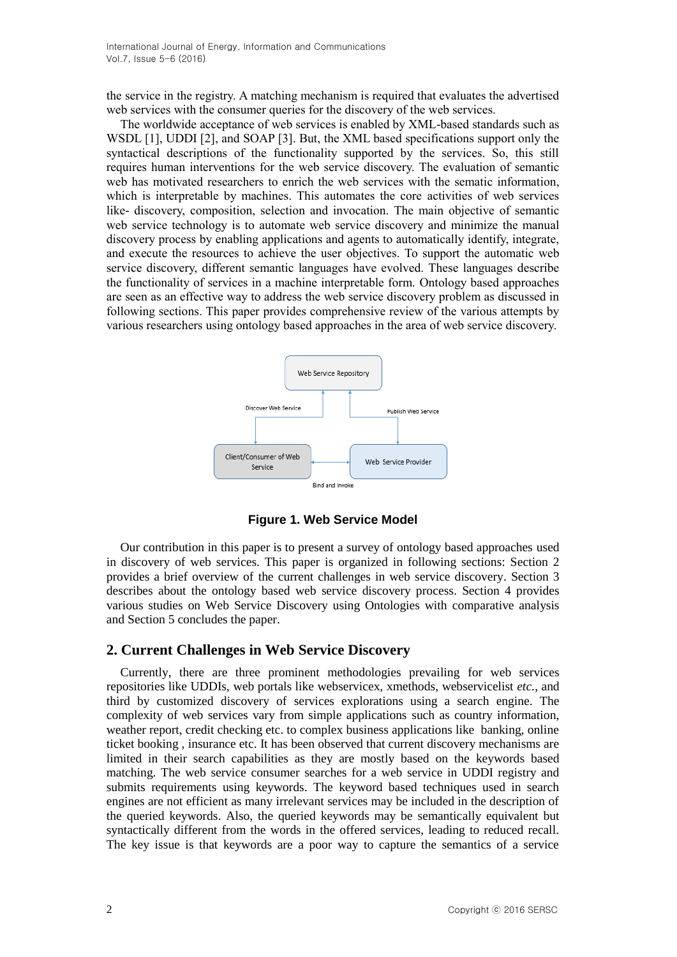the service in the registry. A matching mechanism is required that evaluates the advertised web services with the consumer queries for the discovery of the web services.

The worldwide acceptance of web services is enabled by XML-based standards such as WSDL [1], UDDI [2], and SOAP [3]. But, the XML based specifications support only the syntactical descriptions of the functionality supported by the services. So, this still requires human interventions for the web service discovery. The evaluation of semantic web has motivated researchers to enrich the web services with the sematic information, which is interpretable by machines. This automates the core activities of web services like- discovery, composition, selection and invocation. The main objective of semantic web service technology is to automate web service discovery and minimize the manual discovery process by enabling applications and agents to automatically identify, integrate, and execute the resources to achieve the user objectives. To support the automatic web service discovery, different semantic languages have evolved. These languages describe the functionality of services in a machine interpretable form. Ontology based approaches are seen as an effective way to address the web service discovery problem as discussed in following sections. This paper provides comprehensive review of the various attempts by various researchers using ontology based approaches in the area of web service discovery.



**Figure 1. Web Service Model**

Our contribution in this paper is to present a survey of ontology based approaches used in discovery of web services. This paper is organized in following sections: Section 2 provides a brief overview of the current challenges in web service discovery. Section 3 describes about the ontology based web service discovery process. Section 4 provides various studies on Web Service Discovery using Ontologies with comparative analysis and Section 5 concludes the paper.

## **2. Current Challenges in Web Service Discovery**

Currently, there are three prominent methodologies prevailing for web services repositories like UDDIs, web portals like webservicex, xmethods, webservicelist *etc.*, and third by customized discovery of services explorations using a search engine. The complexity of web services vary from simple applications such as country information, weather report, credit checking etc. to complex business applications like banking, online ticket booking , insurance etc. It has been observed that current discovery mechanisms are limited in their search capabilities as they are mostly based on the keywords based matching. The web service consumer searches for a web service in UDDI registry and submits requirements using keywords. The keyword based techniques used in search engines are not efficient as many irrelevant services may be included in the description of the queried keywords. Also, the queried keywords may be semantically equivalent but syntactically different from the words in the offered services, leading to reduced recall. The key issue is that keywords are a poor way to capture the semantics of a service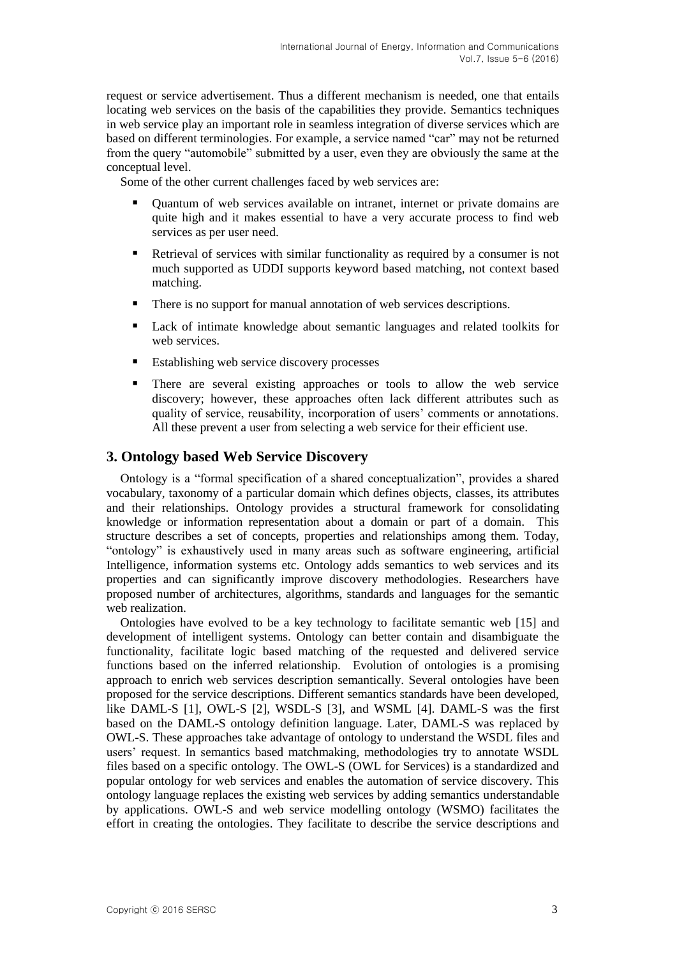request or service advertisement. Thus a different mechanism is needed, one that entails locating web services on the basis of the capabilities they provide. Semantics techniques in web service play an important role in seamless integration of diverse services which are based on different terminologies. For example, a service named "car" may not be returned from the query "automobile" submitted by a user, even they are obviously the same at the conceptual level.

Some of the other current challenges faced by web services are:

- Quantum of web services available on intranet, internet or private domains are quite high and it makes essential to have a very accurate process to find web services as per user need.
- Retrieval of services with similar functionality as required by a consumer is not much supported as UDDI supports keyword based matching, not context based matching.
- There is no support for manual annotation of web services descriptions.
- Lack of intimate knowledge about semantic languages and related toolkits for web services.
- Establishing web service discovery processes
- There are several existing approaches or tools to allow the web service discovery; however, these approaches often lack different attributes such as quality of service, reusability, incorporation of users' comments or annotations. All these prevent a user from selecting a web service for their efficient use.

### **3. Ontology based Web Service Discovery**

Ontology is a "formal specification of a shared conceptualization", provides a shared vocabulary, taxonomy of a particular domain which defines objects, classes, its attributes and their relationships. Ontology provides a structural framework for consolidating knowledge or information representation about a domain or part of a domain. This structure describes a set of concepts, properties and relationships among them. Today, "ontology" is exhaustively used in many areas such as software engineering, artificial Intelligence, information systems etc. Ontology adds semantics to web services and its properties and can significantly improve discovery methodologies. Researchers have proposed number of architectures, algorithms, standards and languages for the semantic web realization.

Ontologies have evolved to be a key technology to facilitate semantic web [15] and development of intelligent systems. Ontology can better contain and disambiguate the functionality, facilitate logic based matching of the requested and delivered service functions based on the inferred relationship. Evolution of ontologies is a promising approach to enrich web services description semantically. Several ontologies have been proposed for the service descriptions. Different semantics standards have been developed, like DAML-S [1], OWL-S [2], WSDL-S [3], and WSML [4]. DAML-S was the first based on the DAML-S ontology definition language. Later, DAML-S was replaced by OWL-S. These approaches take advantage of ontology to understand the WSDL files and users' request. In semantics based matchmaking, methodologies try to annotate WSDL files based on a specific ontology. The OWL-S (OWL for Services) is a standardized and popular ontology for web services and enables the automation of service discovery. This ontology language replaces the existing web services by adding semantics understandable by applications. OWL-S and web service modelling ontology (WSMO) facilitates the effort in creating the ontologies. They facilitate to describe the service descriptions and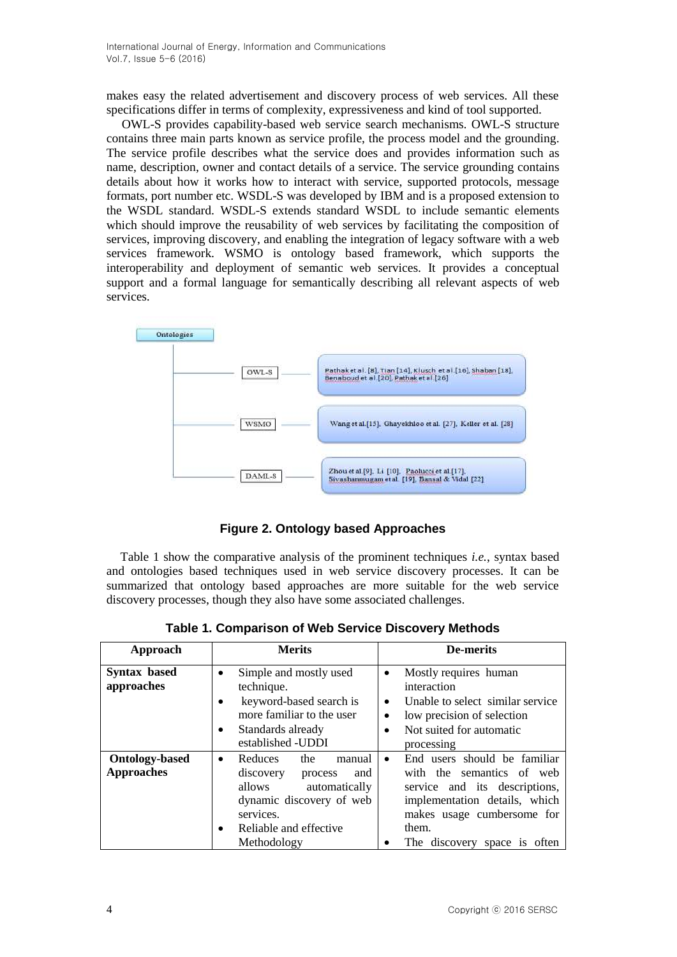makes easy the related advertisement and discovery process of web services. All these specifications differ in terms of complexity, expressiveness and kind of tool supported.

OWL-S provides capability-based web service search mechanisms. OWL-S structure contains three main parts known as service profile, the process model and the grounding. The service profile describes what the service does and provides information such as name, description, owner and contact details of a service. The service grounding contains details about how it works how to interact with service, supported protocols, message formats, port number etc. WSDL-S was developed by IBM and is a proposed extension to the [WSDL](https://en.wikipedia.org/wiki/Web_Services_Description_Language) standard. WSDL-S extends standard WSDL to include semantic elements which should improve the reusability of [web services](https://en.wikipedia.org/wiki/Web_service) by facilitating the composition of services, improving discovery, and enabling the integration of legacy software with a web services framework. WSMO is ontology based framework, which supports the interoperability and deployment of semantic web services. It provides a conceptual support and a formal language for semantically describing all relevant aspects of web services.



**Figure 2. Ontology based Approaches**

Table 1 show the comparative analysis of the prominent techniques *i.e.*, syntax based and ontologies based techniques used in web service discovery processes. It can be summarized that ontology based approaches are more suitable for the web service discovery processes, though they also have some associated challenges.

| Approach                                   | <b>Merits</b>                                                                                                                                                                               | De-merits                                                                                                                                                                                                       |
|--------------------------------------------|---------------------------------------------------------------------------------------------------------------------------------------------------------------------------------------------|-----------------------------------------------------------------------------------------------------------------------------------------------------------------------------------------------------------------|
| <b>Syntax based</b><br>approaches          | Simple and mostly used<br>$\bullet$<br>technique.<br>keyword-based search is<br>$\bullet$<br>more familiar to the user<br>Standards already<br>$\bullet$<br>established - UDDI              | Mostly requires human<br>$\bullet$<br>interaction<br>Unable to select similar service<br>$\bullet$<br>low precision of selection<br>Not suited for automatic<br>processing                                      |
| <b>Ontology-based</b><br><b>Approaches</b> | manual<br>Reduces<br>the<br>$\bullet$<br>discovery<br>and<br>process<br>allows automatically<br>dynamic discovery of web<br>services.<br>Reliable and effective<br>$\bullet$<br>Methodology | End users should be familiar<br>$\bullet$<br>with the semantics of web<br>service and its descriptions,<br>implementation details, which<br>makes usage cumbersome for<br>them.<br>The discovery space is often |

**Table 1. Comparison of Web Service Discovery Methods**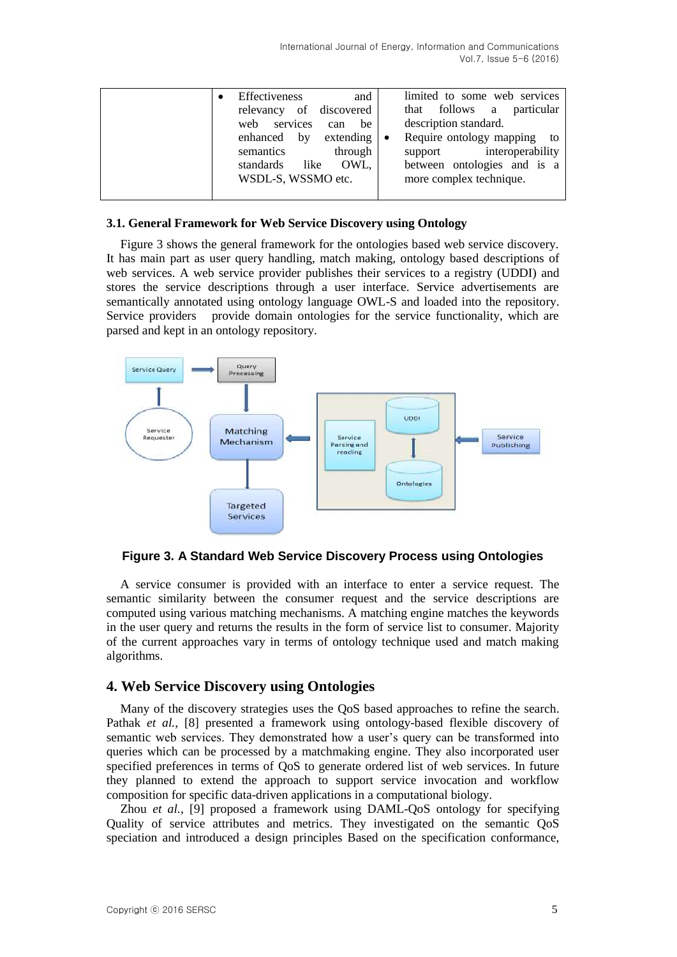|  | Effectiveness<br>and<br>relevancy of discovered<br>web services<br>be<br>can<br>enhanced by extending<br>semantics<br>through<br>OWL.<br>standards<br>like<br>WSDL-S, WSSMO etc. | limited to some web services<br>that follows a particular<br>description standard.<br>Require ontology mapping to<br>$\bullet$<br>support interoperability<br>between ontologies and is a<br>more complex technique. |
|--|----------------------------------------------------------------------------------------------------------------------------------------------------------------------------------|----------------------------------------------------------------------------------------------------------------------------------------------------------------------------------------------------------------------|
|--|----------------------------------------------------------------------------------------------------------------------------------------------------------------------------------|----------------------------------------------------------------------------------------------------------------------------------------------------------------------------------------------------------------------|

#### **3.1. General Framework for Web Service Discovery using Ontology**

Figure 3 shows the general framework for the ontologies based web service discovery. It has main part as user query handling, match making, ontology based descriptions of web services. A web service provider publishes their services to a registry (UDDI) and stores the service descriptions through a user interface. Service advertisements are semantically annotated using ontology language OWL-S and loaded into the repository. Service providers provide domain ontologies for the service functionality, which are parsed and kept in an ontology repository.



**Figure 3. A Standard Web Service Discovery Process using Ontologies**

A service consumer is provided with an interface to enter a service request. The semantic similarity between the consumer request and the service descriptions are computed using various matching mechanisms. A matching engine matches the keywords in the user query and returns the results in the form of service list to consumer. Majority of the current approaches vary in terms of ontology technique used and match making algorithms.

## **4. Web Service Discovery using Ontologies**

Many of the discovery strategies uses the QoS based approaches to refine the search. Pathak *et al.*, [8] presented a framework using ontology-based flexible discovery of semantic web services. They demonstrated how a user's query can be transformed into queries which can be processed by a matchmaking engine. They also incorporated user specified preferences in terms of QoS to generate ordered list of web services. In future they planned to extend the approach to support service invocation and workflow composition for specific data-driven applications in a computational biology.

Zhou *et al.*, [9] proposed a framework using DAML-QoS ontology for specifying Quality of service attributes and metrics. They investigated on the semantic QoS speciation and introduced a design principles Based on the specification conformance,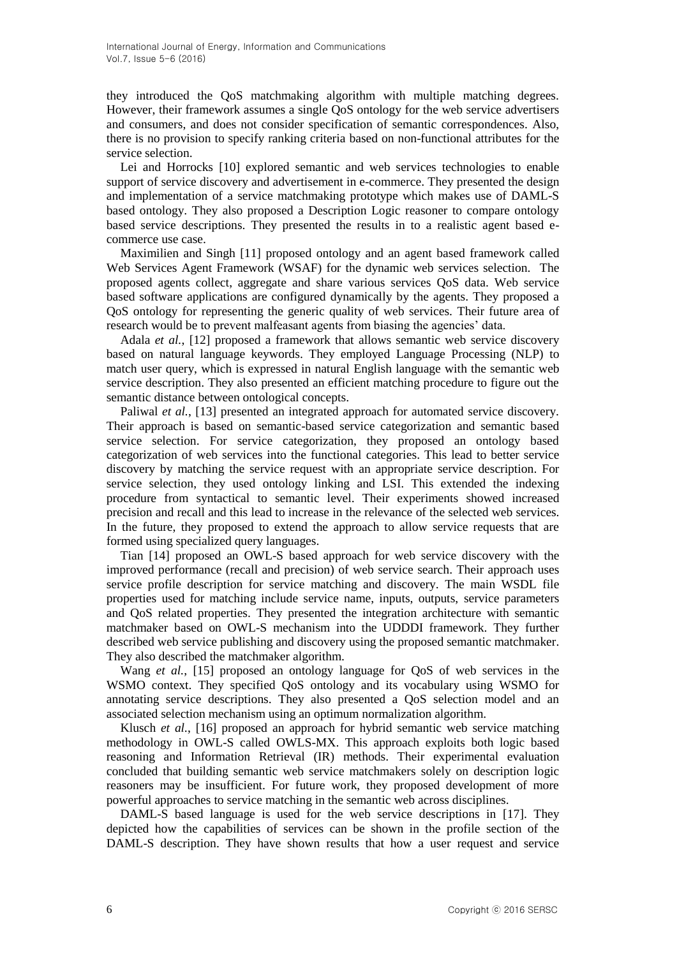they introduced the QoS matchmaking algorithm with multiple matching degrees. However, their framework assumes a single QoS ontology for the web service advertisers and consumers, and does not consider specification of semantic correspondences. Also, there is no provision to specify ranking criteria based on non-functional attributes for the service selection.

Lei and Horrocks [10] explored semantic and web services technologies to enable support of service discovery and advertisement in e-commerce. They presented the design and implementation of a service matchmaking prototype which makes use of DAML-S based ontology. They also proposed a Description Logic reasoner to compare ontology based service descriptions. They presented the results in to a realistic agent based ecommerce use case.

Maximilien and Singh [11] proposed ontology and an agent based framework called Web Services Agent Framework (WSAF) for the dynamic web services selection. The proposed agents collect, aggregate and share various services QoS data. Web service based software applications are configured dynamically by the agents. They proposed a QoS ontology for representing the generic quality of web services. Their future area of research would be to prevent malfeasant agents from biasing the agencies' data.

Adala *et al.*, [12] proposed a framework that allows semantic web service discovery based on natural language keywords. They employed Language Processing (NLP) to match user query, which is expressed in natural English language with the semantic web service description. They also presented an efficient matching procedure to figure out the semantic distance between ontological concepts.

Paliwal *et al.*, [13] presented an integrated approach for automated service discovery. Their approach is based on semantic-based service categorization and semantic based service selection. For service categorization, they proposed an ontology based categorization of web services into the functional categories. This lead to better service discovery by matching the service request with an appropriate service description. For service selection, they used ontology linking and LSI. This extended the indexing procedure from syntactical to semantic level. Their experiments showed increased precision and recall and this lead to increase in the relevance of the selected web services. In the future, they proposed to extend the approach to allow service requests that are formed using specialized query languages.

Tian [14] proposed an OWL-S based approach for web service discovery with the improved performance (recall and precision) of web service search. Their approach uses service profile description for service matching and discovery. The main WSDL file properties used for matching include service name, inputs, outputs, service parameters and QoS related properties. They presented the integration architecture with semantic matchmaker based on OWL-S mechanism into the UDDDI framework. They further described web service publishing and discovery using the proposed semantic matchmaker. They also described the matchmaker algorithm.

Wang *et al.*, [15] proposed an ontology language for QoS of web services in the WSMO context. They specified QoS ontology and its vocabulary using WSMO for annotating service descriptions. They also presented a QoS selection model and an associated selection mechanism using an optimum normalization algorithm.

Klusch *et al.*, [16] proposed an approach for hybrid semantic web service matching methodology in OWL-S called OWLS-MX. This approach exploits both logic based reasoning and Information Retrieval (IR) methods. Their experimental evaluation concluded that building semantic web service matchmakers solely on description logic reasoners may be insufficient. For future work, they proposed development of more powerful approaches to service matching in the semantic web across disciplines.

DAML-S based language is used for the web service descriptions in [17]. They depicted how the capabilities of services can be shown in the profile section of the DAML-S description. They have shown results that how a user request and service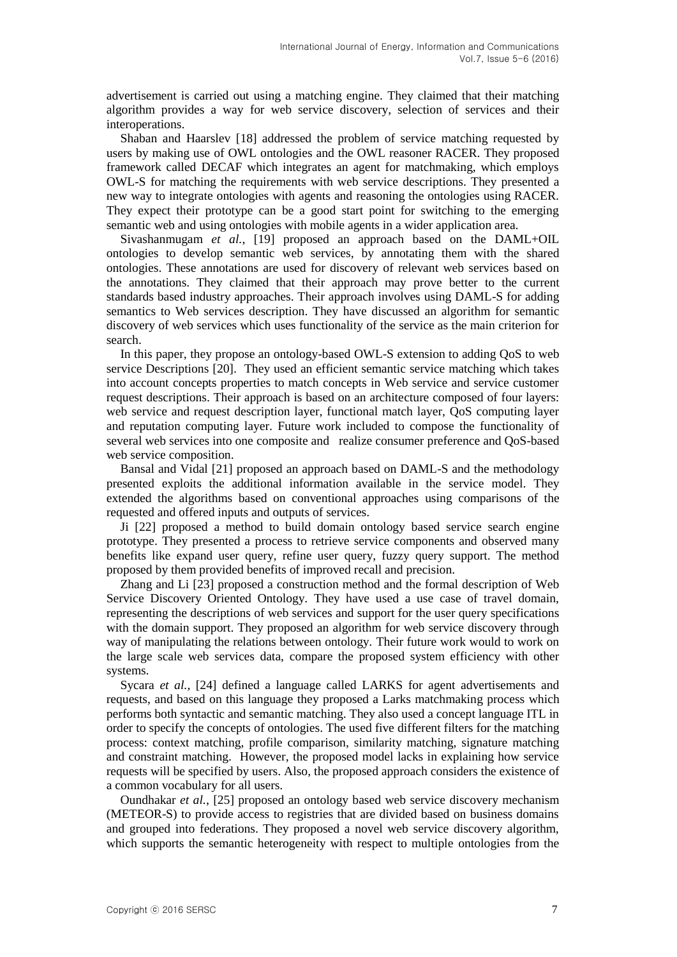advertisement is carried out using a matching engine. They claimed that their matching algorithm provides a way for web service discovery, selection of services and their interoperations.

Shaban and Haarslev [18] addressed the problem of service matching requested by users by making use of OWL ontologies and the OWL reasoner RACER. They proposed framework called DECAF which integrates an agent for matchmaking, which employs OWL-S for matching the requirements with web service descriptions. They presented a new way to integrate ontologies with agents and reasoning the ontologies using RACER. They expect their prototype can be a good start point for switching to the emerging semantic web and using ontologies with mobile agents in a wider application area.

Sivashanmugam *et al.*, [19] proposed an approach based on the DAML+OIL ontologies to develop semantic web services, by annotating them with the shared ontologies. These annotations are used for discovery of relevant web services based on the annotations. They claimed that their approach may prove better to the current standards based industry approaches. Their approach involves using DAML-S for adding semantics to Web services description. They have discussed an algorithm for semantic discovery of web services which uses functionality of the service as the main criterion for search.

In this paper, they propose an ontology-based OWL-S extension to adding QoS to web service Descriptions [20]. They used an efficient semantic service matching which takes into account concepts properties to match concepts in Web service and service customer request descriptions. Their approach is based on an architecture composed of four layers: web service and request description layer, functional match layer, QoS computing layer and reputation computing layer. Future work included to compose the functionality of several web services into one composite and realize consumer preference and QoS-based web service composition.

Bansal and Vidal [21] proposed an approach based on DAML-S and the methodology presented exploits the additional information available in the service model. They extended the algorithms based on conventional approaches using comparisons of the requested and offered inputs and outputs of services.

Ji [22] proposed a method to build domain ontology based service search engine prototype. They presented a process to retrieve service components and observed many benefits like expand user query, refine user query, fuzzy query support. The method proposed by them provided benefits of improved recall and precision.

Zhang and Li [23] proposed a construction method and the formal description of Web Service Discovery Oriented Ontology. They have used a use case of travel domain, representing the descriptions of web services and support for the user query specifications with the domain support. They proposed an algorithm for web service discovery through way of manipulating the relations between ontology. Their future work would to work on the large scale web services data, compare the proposed system efficiency with other systems.

Sycara *et al.*, [24] defined a language called LARKS for agent advertisements and requests, and based on this language they proposed a Larks matchmaking process which performs both syntactic and semantic matching. They also used a concept language ITL in order to specify the concepts of ontologies. The used five different filters for the matching process: context matching, profile comparison, similarity matching, signature matching and constraint matching. However, the proposed model lacks in explaining how service requests will be specified by users. Also, the proposed approach considers the existence of a common vocabulary for all users.

Oundhakar *et al.*, [25] proposed an ontology based web service discovery mechanism (METEOR-S) to provide access to registries that are divided based on business domains and grouped into federations. They proposed a novel web service discovery algorithm, which supports the semantic heterogeneity with respect to multiple ontologies from the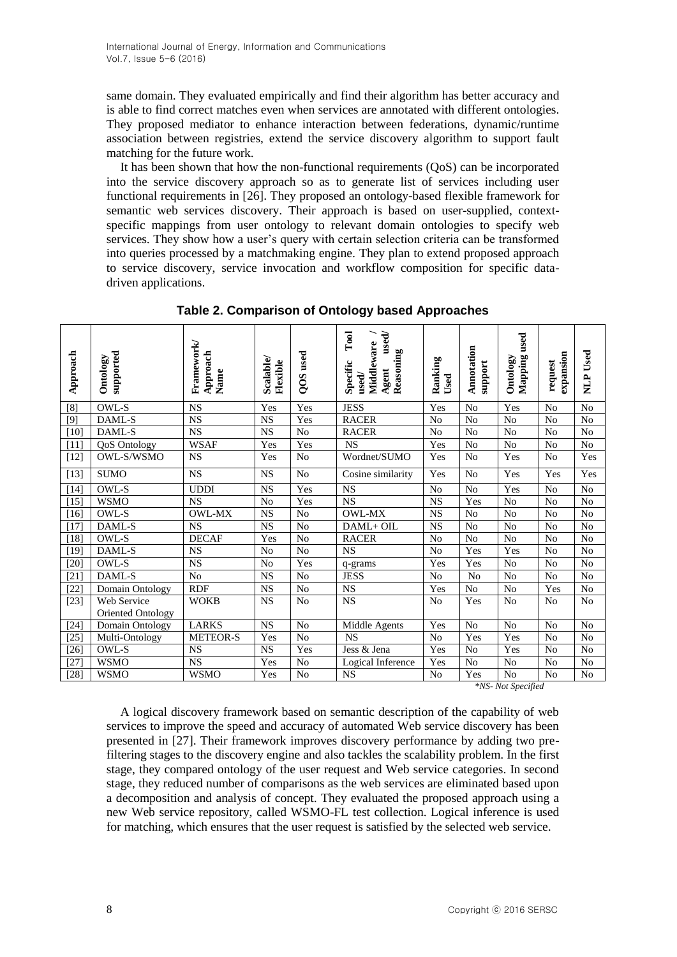same domain. They evaluated empirically and find their algorithm has better accuracy and is able to find correct matches even when services are annotated with different ontologies. They proposed mediator to enhance interaction between federations, dynamic/runtime association between registries, extend the service discovery algorithm to support fault matching for the future work.

It has been shown that how the non-functional requirements (QoS) can be incorporated into the service discovery approach so as to generate list of services including user functional requirements in [26]. They proposed an ontology-based flexible framework for semantic web services discovery. Their approach is based on user-supplied, contextspecific mappings from user ontology to relevant domain ontologies to specify web services. They show how a user's query with certain selection criteria can be transformed into queries processed by a matchmaking engine. They plan to extend proposed approach to service discovery, service invocation and workflow composition for specific datadriven applications.

| Approach | supported<br>Ontology | Framework<br>Approach<br>Name | Scalable/<br>Flexible | QOS used        | $\Gamma$ ool<br>$_{\rm used/}$<br>Middleware<br>Reasoning<br>Specific<br>Agent<br>${\bf used}$ | Ranking<br>Used | Annotation<br>support | Mapping used<br>Ontology | expansion<br>request | NLP Used       |
|----------|-----------------------|-------------------------------|-----------------------|-----------------|------------------------------------------------------------------------------------------------|-----------------|-----------------------|--------------------------|----------------------|----------------|
| [8]      | OWL-S                 | <b>NS</b>                     | Yes                   | Yes             | <b>JESS</b>                                                                                    | Yes             | $\rm No$              | Yes                      | N <sub>o</sub>       | No             |
| [9]      | DAML-S                | <b>NS</b>                     | <b>NS</b>             | Yes             | <b>RACER</b>                                                                                   | N <sub>o</sub>  | N <sub>o</sub>        | N <sub>o</sub>           | N <sub>o</sub>       | N <sub>o</sub> |
| $[10]$   | DAML-S                | $\overline{\text{NS}}$        | $_{\rm NS}$           | $\overline{No}$ | <b>RACER</b>                                                                                   | $\rm No$        | $\rm No$              | $\rm No$                 | $\rm No$             | $\rm No$       |
| $[11]$   | <b>QoS</b> Ontology   | <b>WSAF</b>                   | Yes                   | Yes             | <b>NS</b>                                                                                      | Yes             | $\rm No$              | N <sub>o</sub>           | No                   | No             |
| $[12]$   | <b>OWL-S/WSMO</b>     | <b>NS</b>                     | Yes                   | No              | Wordnet/SUMO                                                                                   | Yes             | N <sub>o</sub>        | Yes                      | N <sub>o</sub>       | Yes            |
| $[13]$   | <b>SUMO</b>           | $\overline{\text{NS}}$        | NS                    | N <sub>o</sub>  | Cosine similarity                                                                              | Yes             | No                    | Yes                      | Yes                  | Yes            |
| $[14]$   | OWL-S                 | <b>UDDI</b>                   | <b>NS</b>             | Yes             | <b>NS</b>                                                                                      | N <sub>o</sub>  | N <sub>o</sub>        | Yes                      | N <sub>o</sub>       | N <sub>o</sub> |
| $[15]$   | <b>WSMO</b>           | <b>NS</b>                     | No                    | Yes             | <b>NS</b>                                                                                      | <b>NS</b>       | Yes                   | N <sub>o</sub>           | No                   | N <sub>0</sub> |
| [16]     | OWL-S                 | OWL-MX                        | <b>NS</b>             | $\rm No$        | OWL-MX                                                                                         | $_{\rm NS}$     | N <sub>o</sub>        | $\rm No$                 | $\rm No$             | $\rm No$       |
| $[17]$   | DAML-S                | <b>NS</b>                     | <b>NS</b>             | $\rm No$        | DAML+ OIL                                                                                      | <b>NS</b>       | N <sub>0</sub>        | N <sub>o</sub>           | N <sub>o</sub>       | N <sub>o</sub> |
| $[18]$   | OWL-S                 | <b>DECAF</b>                  | Yes                   | No              | <b>RACER</b>                                                                                   | N <sub>o</sub>  | N <sub>o</sub>        | N <sub>o</sub>           | N <sub>o</sub>       | No             |
| $[19]$   | DAML-S                | <b>NS</b>                     | No                    | N <sub>o</sub>  | <b>NS</b>                                                                                      | N <sub>o</sub>  | Yes                   | Yes                      | N <sub>o</sub>       | $\rm No$       |
| $[20]$   | OWL-S                 | <b>NS</b>                     | No                    | Yes             | q-grams                                                                                        | Yes             | Yes                   | N <sub>o</sub>           | N <sub>o</sub>       | N <sub>o</sub> |
| $[21]$   | DAML-S                | $\rm No$                      | <b>NS</b>             | N <sub>o</sub>  | <b>JESS</b>                                                                                    | N <sub>0</sub>  | N <sub>o</sub>        | N <sub>o</sub>           | N <sub>o</sub>       | N <sub>o</sub> |
| $[22]$   | Domain Ontology       | <b>RDF</b>                    | <b>NS</b>             | N <sub>o</sub>  | <b>NS</b>                                                                                      | Yes             | N <sub>0</sub>        | N <sub>o</sub>           | Yes                  | N <sub>o</sub> |
| $[23]$   | Web Service           | <b>WOKB</b>                   | <b>NS</b>             | N <sub>o</sub>  | <b>NS</b>                                                                                      | N <sub>0</sub>  | Yes                   | N <sub>o</sub>           | N <sub>o</sub>       | N <sub>0</sub> |
|          | Oriented Ontology     |                               |                       |                 |                                                                                                |                 |                       |                          |                      |                |
| $[24]$   | Domain Ontology       | <b>LARKS</b>                  | NS                    | No              | Middle Agents                                                                                  | Yes             | No                    | $\overline{No}$          | N <sub>o</sub>       | No             |
| $[25]$   | Multi-Ontology        | <b>METEOR-S</b>               | Yes                   | No              | <b>NS</b>                                                                                      | No              | Yes                   | Yes                      | N <sub>o</sub>       | $\rm No$       |
| $[26]$   | OWL-S                 | <b>NS</b>                     | <b>NS</b>             | Yes             | Jess & Jena                                                                                    | Yes             | No                    | Yes                      | No                   | N <sub>o</sub> |
| [27]     | <b>WSMO</b>           | <b>NS</b>                     | Yes                   | $\rm No$        | Logical Inference                                                                              | Yes             | $\rm No$              | $\rm No$                 | $\rm No$             | $\rm No$       |
| $[28]$   | <b>WSMO</b>           | <b>WSMO</b>                   | Yes                   | N <sub>o</sub>  | <b>NS</b>                                                                                      | N <sub>o</sub>  | Yes                   | N <sub>o</sub>           | N <sub>o</sub>       | $\rm No$       |

**Table 2. Comparison of Ontology based Approaches**

*\*NS- Not Specified*

A logical discovery framework based on semantic description of the capability of web services to improve the speed and accuracy of automated Web service discovery has been presented in [27]. Their framework improves discovery performance by adding two prefiltering stages to the discovery engine and also tackles the scalability problem. In the first stage, they compared ontology of the user request and Web service categories. In second stage, they reduced number of comparisons as the web services are eliminated based upon a decomposition and analysis of concept. They evaluated the proposed approach using a new Web service repository, called WSMO-FL test collection. Logical inference is used for matching, which ensures that the user request is satisfied by the selected web service.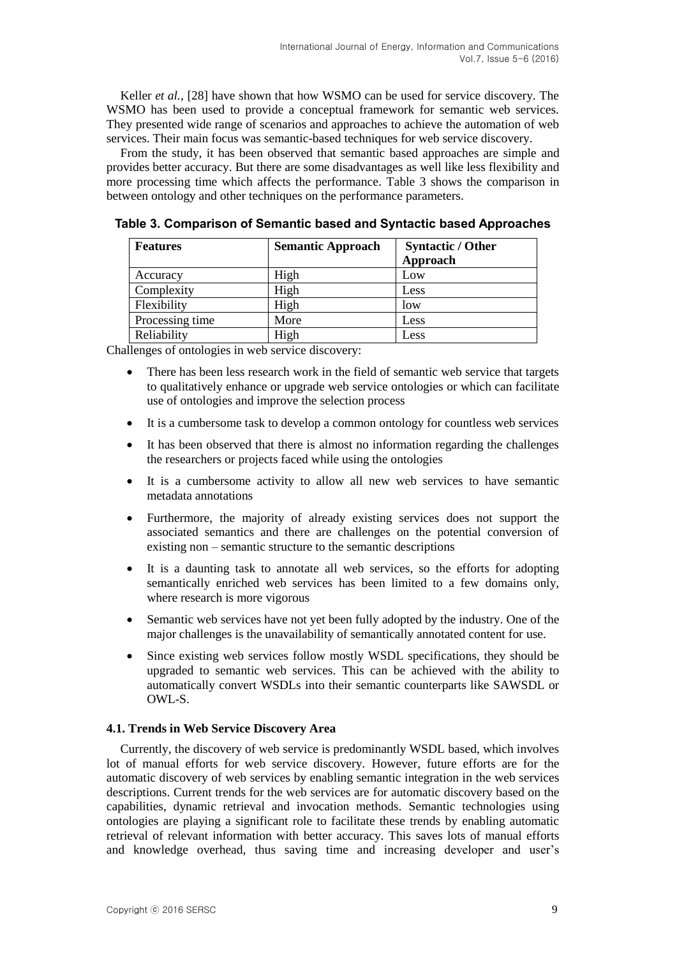Keller *et al.*, [28] have shown that how WSMO can be used for service discovery. The WSMO has been used to provide a conceptual framework for semantic web services. They presented wide range of scenarios and approaches to achieve the automation of web services. Their main focus was semantic-based techniques for web service discovery.

From the study, it has been observed that semantic based approaches are simple and provides better accuracy. But there are some disadvantages as well like less flexibility and more processing time which affects the performance. Table 3 shows the comparison in between ontology and other techniques on the performance parameters.

**Features Semantic Approach Syntactic / Other Syntactic Approach** Accuracy | High | Low Complexity | High | Less Flexibility High low Processing time More Less Reliability | High | Less

**Table 3. Comparison of Semantic based and Syntactic based Approaches**

Challenges of ontologies in web service discovery:

- There has been less research work in the field of semantic web service that targets to qualitatively enhance or upgrade web service ontologies or which can facilitate use of ontologies and improve the selection process
- It is a cumbersome task to develop a common ontology for countless web services
- It has been observed that there is almost no information regarding the challenges the researchers or projects faced while using the ontologies
- It is a cumbersome activity to allow all new web services to have semantic metadata annotations
- Furthermore, the majority of already existing services does not support the associated semantics and there are challenges on the potential conversion of existing non – semantic structure to the semantic descriptions
- It is a daunting task to annotate all web services, so the efforts for adopting semantically enriched web services has been limited to a few domains only, where research is more vigorous
- Semantic web services have not yet been fully adopted by the industry. One of the major challenges is the unavailability of semantically annotated content for use.
- Since existing web services follow mostly WSDL specifications, they should be upgraded to semantic web services. This can be achieved with the ability to automatically convert WSDLs into their semantic counterparts like SAWSDL or OWL-S.

#### **4.1. Trends in Web Service Discovery Area**

Currently, the discovery of web service is predominantly WSDL based, which involves lot of manual efforts for web service discovery. However, future efforts are for the automatic discovery of web services by enabling semantic integration in the web services descriptions. Current trends for the web services are for automatic discovery based on the capabilities, dynamic retrieval and invocation methods. Semantic technologies using ontologies are playing a significant role to facilitate these trends by enabling automatic retrieval of relevant information with better accuracy. This saves lots of manual efforts and knowledge overhead, thus saving time and increasing developer and user's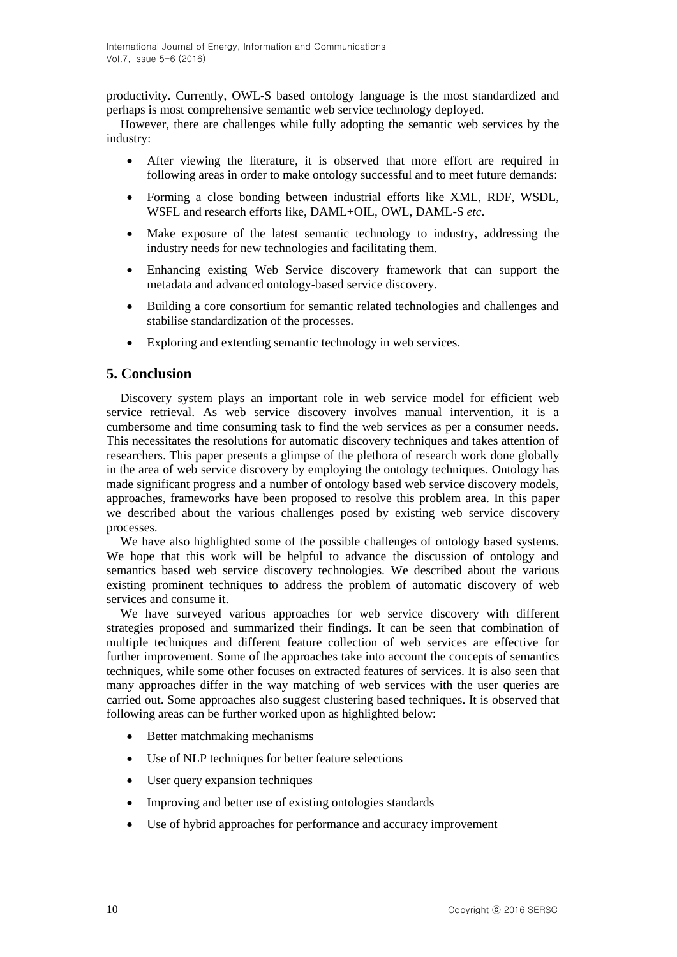productivity. Currently, OWL-S based ontology language is the most standardized and perhaps is most comprehensive semantic web service technology deployed.

However, there are challenges while fully adopting the semantic web services by the industry:

- After viewing the literature, it is observed that more effort are required in following areas in order to make ontology successful and to meet future demands:
- Forming a close bonding between industrial efforts like XML, RDF, WSDL, WSFL and research efforts like, DAML+OIL, OWL, DAML-S *etc*.
- Make exposure of the latest semantic technology to industry, addressing the industry needs for new technologies and facilitating them.
- Enhancing existing Web Service discovery framework that can support the metadata and advanced ontology-based service discovery.
- Building a core consortium for semantic related technologies and challenges and stabilise standardization of the processes.
- Exploring and extending semantic technology in web services.

## **5. Conclusion**

Discovery system plays an important role in web service model for efficient web service retrieval. As web service discovery involves manual intervention, it is a cumbersome and time consuming task to find the web services as per a consumer needs. This necessitates the resolutions for automatic discovery techniques and takes attention of researchers. This paper presents a glimpse of the plethora of research work done globally in the area of web service discovery by employing the ontology techniques. Ontology has made significant progress and a number of ontology based web service discovery models, approaches, frameworks have been proposed to resolve this problem area. In this paper we described about the various challenges posed by existing web service discovery processes.

We have also highlighted some of the possible challenges of ontology based systems. We hope that this work will be helpful to advance the discussion of ontology and semantics based web service discovery technologies. We described about the various existing prominent techniques to address the problem of automatic discovery of web services and consume it.

We have surveyed various approaches for web service discovery with different strategies proposed and summarized their findings. It can be seen that combination of multiple techniques and different feature collection of web services are effective for further improvement. Some of the approaches take into account the concepts of semantics techniques, while some other focuses on extracted features of services. It is also seen that many approaches differ in the way matching of web services with the user queries are carried out. Some approaches also suggest clustering based techniques. It is observed that following areas can be further worked upon as highlighted below:

- Better matchmaking mechanisms
- Use of NLP techniques for better feature selections
- User query expansion techniques
- Improving and better use of existing ontologies standards
- Use of hybrid approaches for performance and accuracy improvement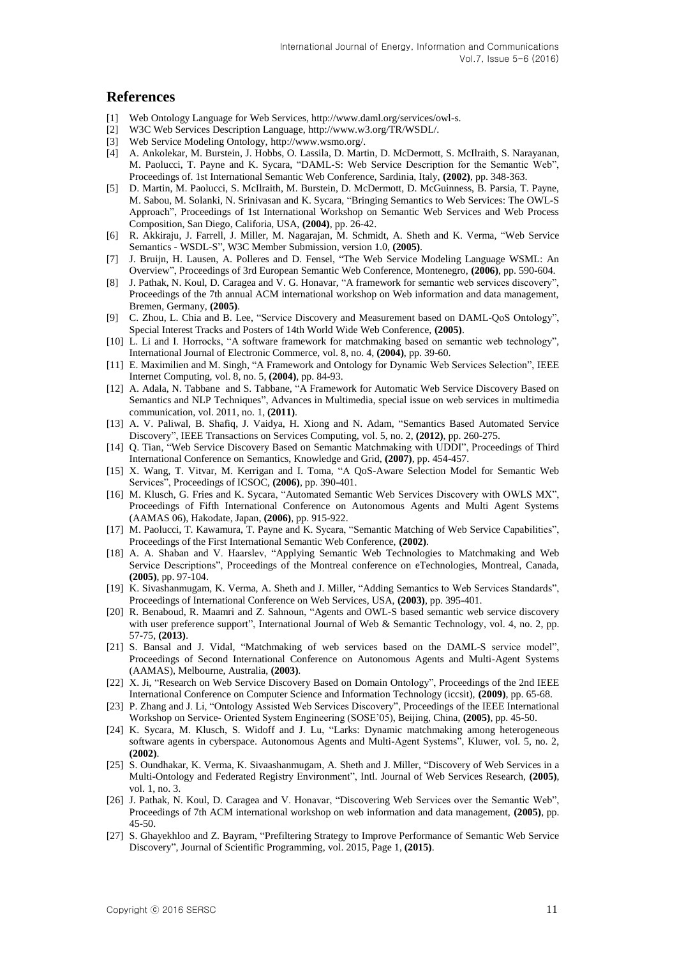#### **References**

- [1] Web Ontology Language for Web Services, [http://www.daml.org/services/owl-s.](http://www.daml.org/services/owl-s)
- [2] W3C Web Services Description Language, [http://www.w3.org/TR/WSDL/.](http://www.w3.org/TR/WSDL/)
- [3] Web Service Modeling Ontology, [http://www.wsmo.org/.](http://www.wsmo.org/)
- [4] A. Ankolekar, M. Burstein, J. Hobbs, O. Lassila, D. Martin, D. McDermott, S. McIlraith, S. Narayanan, M. Paolucci, T. Payne and K. Sycara, "DAML-S: Web Service Description for the Semantic Web", Proceedings of. 1st International Semantic Web Conference, Sardinia, Italy, **(2002)**, pp. 348-363.
- [5] D. Martin, M. Paolucci, S. McIlraith, M. Burstein, D. McDermott, D. McGuinness, B. Parsia, T. Payne, M. Sabou, M. Solanki, N. Srinivasan and K. Sycara, "Bringing Semantics to Web Services: The OWL-S Approach", Proceedings of 1st International Workshop on Semantic Web Services and Web Process Composition, San Diego, Califoria, USA, **(2004)**, pp. 26-42.
- [6] R. Akkiraju, J. Farrell, J. Miller, M. Nagarajan, M. Schmidt, A. Sheth and K. Verma, "Web Service Semantics - WSDL-S", W3C Member Submission, version 1.0, **(2005)**.
- [7] J. Bruijn, H. Lausen, A. Polleres and D. Fensel, "The Web Service Modeling Language WSML: An Overview", Proceedings of 3rd European Semantic Web Conference, Montenegro, **(2006)**, pp. 590-604.
- [8] J. Pathak, N. Koul, D. Caragea and V. G. Honavar, "A framework for semantic web services discovery", Proceedings of the 7th annual ACM international workshop on Web information and data management, Bremen, Germany, **(2005)**.
- [9] C. Zhou, L. Chia and B. Lee, "Service Discovery and Measurement based on DAML-QoS Ontology", Special Interest Tracks and Posters of 14th World Wide Web Conference, **(2005)**.
- [10] L. Li and I. Horrocks, "A software framework for matchmaking based on semantic web technology", International Journal of Electronic Commerce, vol. 8, no. 4, **(2004)**, pp. 39-60.
- [11] E. Maximilien and M. Singh, "A Framework and Ontology for Dynamic Web Services Selection", IEEE Internet Computing, vol. 8, no. 5, **(2004)**, pp. 84-93.
- [12] A. [Adala,](http://www.oalib.com/search?kw=Asma%20Adala&searchField=authors) N. [Tabbane](http://www.oalib.com/search?kw=Nabil%20Tabbane&searchField=authors) and S[. Tabbane,](http://www.oalib.com/search?kw=Sami%20Tabbane&searchField=authors) ["A Framework for Automatic Web Service Discovery Based on](http://www.oalib.com/paper/29871)  [Semantics and NLP Techniques"](http://www.oalib.com/paper/29871), [Advances in Multimedia,](http://www.oalib.com/journal/366) special issue on web services in multimedia communication, vol. 2011, no. 1, **(2011)**.
- [13] A. V. Paliwal, B. Shafiq, J. Vaidya, H. Xiong and N. Adam, "Semantics Based Automated Service Discovery", IEEE Transactions on Services Computing, vol. 5, no. 2, **(2012)**, pp. 260-275.
- [14] Q. Tian, "Web Service Discovery Based on Semantic Matchmaking with UDDI", Proceedings of Third International Conference on Semantics, Knowledge and Grid, **(2007)**, pp. 454-457.
- [15] X. Wang, T. Vitvar, M. Kerrigan and I. Toma, "A QoS-Aware Selection Model for Semantic Web Services", Proceedings of ICSOC, **(2006)**, pp. 390-401.
- [16] M. [Klusch,](http://www.ri.cmu.edu/person.html?person_id=149) G. [Fries](http://www.ri.cmu.edu/person.html?person_id=84) and K. [Sycara,](http://www.ri.cmu.edu/person.html?person_id=304) "Automated Semantic Web Services Discovery with OWLS MX", Proceedings of Fifth International Conference on Autonomous Agents and Multi Agent Systems (AAMAS 06), Hakodate, Japan, **(2006)**, pp. 915-922.
- [17] M. Paolucci, T. Kawamura, T. Payne and K. Sycara, "Semantic Matching of Web Service Capabilities", Proceedings of the First International Semantic Web Conference, **(2002)**.
- [18] A. A. Shaban and V. Haarslev, "Applying Semantic Web Technologies to Matchmaking and Web Service Descriptions", Proceedings of the Montreal conference on eTechnologies, Montreal, Canada, **(2005)**, pp. 97-104.
- [19] K. Sivashanmugam, K. Verma, A. Sheth and J. Miller, "Adding Semantics to Web Services Standards", Proceedings of International Conference on Web Services, USA, **(2003)**, pp. 395-401.
- [20] R. Benaboud, R. Maamri and Z. Sahnoun, "Agents and OWL-S based semantic web service discovery with user preference support", International Journal of Web & Semantic Technology, vol. 4, no. 2, pp. 57-75, **(2013)**.
- [21] S. Bansal and J. Vidal, "Matchmaking of web services based on the DAML-S service model", Proceedings of Second International Conference on Autonomous Agents and Multi-Agent Systems (AAMAS), Melbourne, Australia, **(2003)**.
- [22] X. Ji, "Research on Web Service Discovery Based on Domain Ontology", Proceedings of the 2nd IEEE International Conference on Computer Science and Information Technology (iccsit), **(2009)**, pp. 65-68.
- [23] P. Zhang and J. Li, "Ontology Assisted Web Services Discovery", Proceedings of the IEEE International Workshop on Service- Oriented System Engineering (SOSE'05), Beijing, China, **(2005)**, pp. 45-50.
- [24] K. Sycara, M. Klusch, S. Widoff and J. Lu, "Larks: Dynamic matchmaking among heterogeneous software agents in cyberspace. Autonomous Agents and Multi-Agent Systems", Kluwer, vol. 5, no. 2, **(2002)**.
- [25] S. Oundhakar, K. Verma, K. Sivaashanmugam, A. Sheth and J. Miller, "Discovery of Web Services in a Multi-Ontology and Federated Registry Environment", Intl. Journal of Web Services Research, **(2005)**, vol. 1, no. 3.
- [26] J. Pathak, N. Koul, D. Caragea and V. Honavar, "Discovering Web Services over the Semantic Web", Proceedings of 7th ACM international workshop on web information and data management, **(2005)**, pp. 45-50.
- [27] S[. Ghayekhloo](http://www.hindawi.com/36087803/) and Z[. Bayram,](http://www.hindawi.com/90613921/) "Prefiltering Strategy to Improve Performance of Semantic Web Service Discovery", Journal o[f Scientific Programming,](http://dblp.kbs.uni-hannover.de/dblp/Search.action?search=&q=in%3A%22Scientific+Programming%22) vol. 2015, Page 1, **(2015)**.